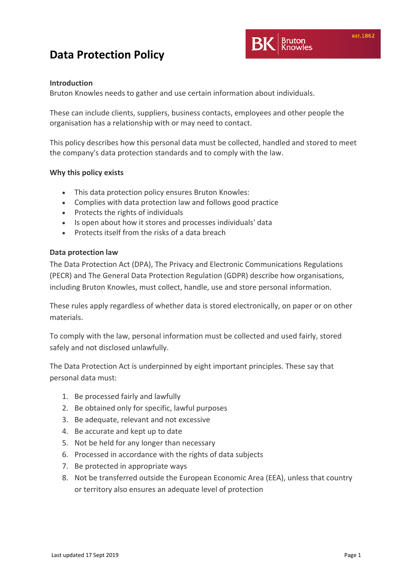

### **Introduction**

Bruton Knowles needs to gather and use certain information about individuals.

These can include clients, suppliers, business contacts, employees and other people the organisation has a relationship with or may need to contact.

This policy describes how this personal data must be collected, handled and stored to meet the company's data protection standards and to comply with the law.

#### **Why this policy exists**

- This data protection policy ensures Bruton Knowles:
- Complies with data protection law and follows good practice
- Protects the rights of individuals
- Is open about how it stores and processes individuals' data
- Protects itself from the risks of a data breach

#### **Data protection law**

The Data Protection Act (DPA), The Privacy and Electronic Communications Regulations (PECR) and The General Data Protection Regulation (GDPR) describe how organisations, including Bruton Knowles, must collect, handle, use and store personal information.

These rules apply regardless of whether data is stored electronically, on paper or on other materials.

To comply with the law, personal information must be collected and used fairly, stored safely and not disclosed unlawfully.

The Data Protection Act is underpinned by eight important principles. These say that personal data must:

- 1. Be processed fairly and lawfully
- 2. Be obtained only for specific, lawful purposes
- 3. Be adequate, relevant and not excessive
- 4. Be accurate and kept up to date
- 5. Not be held for any longer than necessary
- 6. Processed in accordance with the rights of data subjects
- 7. Be protected in appropriate ways
- 8. Not be transferred outside the European Economic Area (EEA), unless that country or territory also ensures an adequate level of protection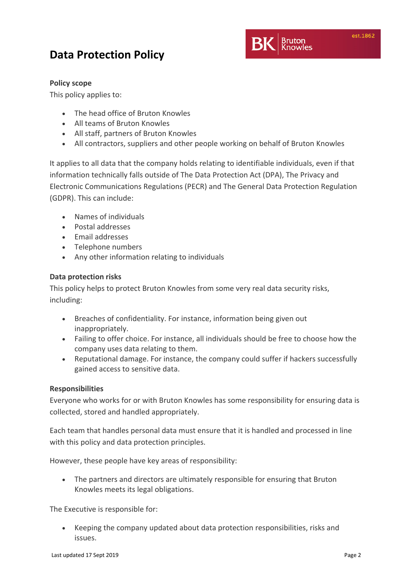

### **Policy scope**

This policy applies to:

- The head office of Bruton Knowles
- All teams of Bruton Knowles
- All staff, partners of Bruton Knowles
- All contractors, suppliers and other people working on behalf of Bruton Knowles

It applies to all data that the company holds relating to identifiable individuals, even if that information technically falls outside of The Data Protection Act (DPA), The Privacy and Electronic Communications Regulations (PECR) and The General Data Protection Regulation (GDPR). This can include:

- Names of individuals
- Postal addresses
- Email addresses
- Telephone numbers
- Any other information relating to individuals

### **Data protection risks**

This policy helps to protect Bruton Knowles from some very real data security risks, including:

- Breaches of confidentiality. For instance, information being given out inappropriately.
- Failing to offer choice. For instance, all individuals should be free to choose how the company uses data relating to them.
- Reputational damage. For instance, the company could suffer if hackers successfully gained access to sensitive data.

#### **Responsibilities**

Everyone who works for or with Bruton Knowles has some responsibility for ensuring data is collected, stored and handled appropriately.

Each team that handles personal data must ensure that it is handled and processed in line with this policy and data protection principles.

However, these people have key areas of responsibility:

 The partners and directors are ultimately responsible for ensuring that Bruton Knowles meets its legal obligations.

The Executive is responsible for:

 Keeping the company updated about data protection responsibilities, risks and issues.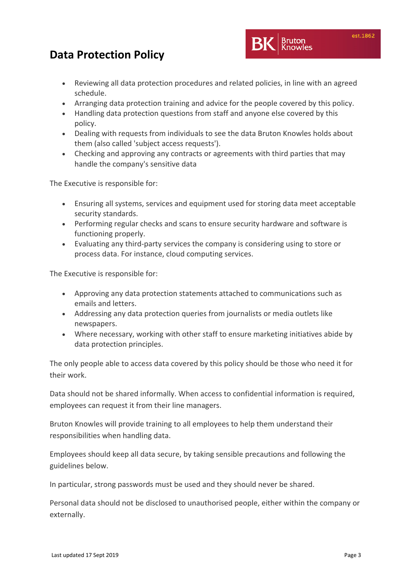- Reviewing all data protection procedures and related policies, in line with an agreed schedule.
- Arranging data protection training and advice for the people covered by this policy.
- Handling data protection questions from staff and anyone else covered by this policy.
- Dealing with requests from individuals to see the data Bruton Knowles holds about them (also called 'subject access requests').
- Checking and approving any contracts or agreements with third parties that may handle the company's sensitive data

The Executive is responsible for:

- Ensuring all systems, services and equipment used for storing data meet acceptable security standards.
- Performing regular checks and scans to ensure security hardware and software is functioning properly.
- Evaluating any third‐party services the company is considering using to store or process data. For instance, cloud computing services.

The Executive is responsible for:

- Approving any data protection statements attached to communications such as emails and letters.
- Addressing any data protection queries from journalists or media outlets like newspapers.
- Where necessary, working with other staff to ensure marketing initiatives abide by data protection principles.

The only people able to access data covered by this policy should be those who need it for their work.

Data should not be shared informally. When access to confidential information is required, employees can request it from their line managers.

Bruton Knowles will provide training to all employees to help them understand their responsibilities when handling data.

Employees should keep all data secure, by taking sensible precautions and following the guidelines below.

In particular, strong passwords must be used and they should never be shared.

Personal data should not be disclosed to unauthorised people, either within the company or externally.

est.1862

**Bruton**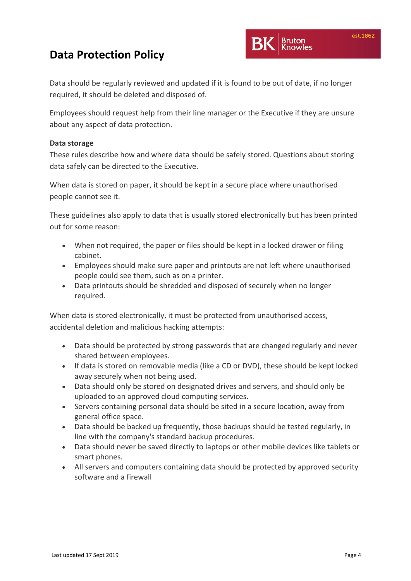Bruton

### **Data Protection Policy**

Data should be regularly reviewed and updated if it is found to be out of date, if no longer required, it should be deleted and disposed of.

Employees should request help from their line manager or the Executive if they are unsure about any aspect of data protection.

### **Data storage**

These rules describe how and where data should be safely stored. Questions about storing data safely can be directed to the Executive.

When data is stored on paper, it should be kept in a secure place where unauthorised people cannot see it.

These guidelines also apply to data that is usually stored electronically but has been printed out for some reason:

- When not required, the paper or files should be kept in a locked drawer or filing cabinet.
- Employees should make sure paper and printouts are not left where unauthorised people could see them, such as on a printer.
- Data printouts should be shredded and disposed of securely when no longer required.

When data is stored electronically, it must be protected from unauthorised access, accidental deletion and malicious hacking attempts:

- Data should be protected by strong passwords that are changed regularly and never shared between employees.
- If data is stored on removable media (like a CD or DVD), these should be kept locked away securely when not being used.
- Data should only be stored on designated drives and servers, and should only be uploaded to an approved cloud computing services.
- Servers containing personal data should be sited in a secure location, away from general office space.
- Data should be backed up frequently, those backups should be tested regularly, in line with the company's standard backup procedures.
- Data should never be saved directly to laptops or other mobile devices like tablets or smart phones.
- All servers and computers containing data should be protected by approved security software and a firewall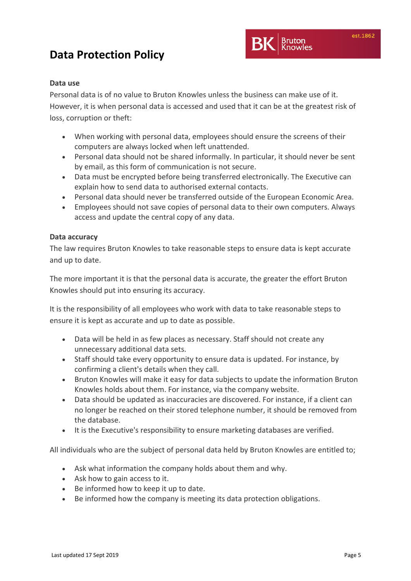### **Data use**

Personal data is of no value to Bruton Knowles unless the business can make use of it. However, it is when personal data is accessed and used that it can be at the greatest risk of loss, corruption or theft:

- When working with personal data, employees should ensure the screens of their computers are always locked when left unattended.
- Personal data should not be shared informally. In particular, it should never be sent by email, as this form of communication is not secure.
- Data must be encrypted before being transferred electronically. The Executive can explain how to send data to authorised external contacts.
- Personal data should never be transferred outside of the European Economic Area.
- Employees should not save copies of personal data to their own computers. Always access and update the central copy of any data.

#### **Data accuracy**

The law requires Bruton Knowles to take reasonable steps to ensure data is kept accurate and up to date.

The more important it is that the personal data is accurate, the greater the effort Bruton Knowles should put into ensuring its accuracy.

It is the responsibility of all employees who work with data to take reasonable steps to ensure it is kept as accurate and up to date as possible.

- Data will be held in as few places as necessary. Staff should not create any unnecessary additional data sets.
- Staff should take every opportunity to ensure data is updated. For instance, by confirming a client's details when they call.
- Bruton Knowles will make it easy for data subjects to update the information Bruton Knowles holds about them. For instance, via the company website.
- Data should be updated as inaccuracies are discovered. For instance, if a client can no longer be reached on their stored telephone number, it should be removed from the database.
- It is the Executive's responsibility to ensure marketing databases are verified.

All individuals who are the subject of personal data held by Bruton Knowles are entitled to;

- Ask what information the company holds about them and why.
- Ask how to gain access to it.
- Be informed how to keep it up to date.
- Be informed how the company is meeting its data protection obligations.